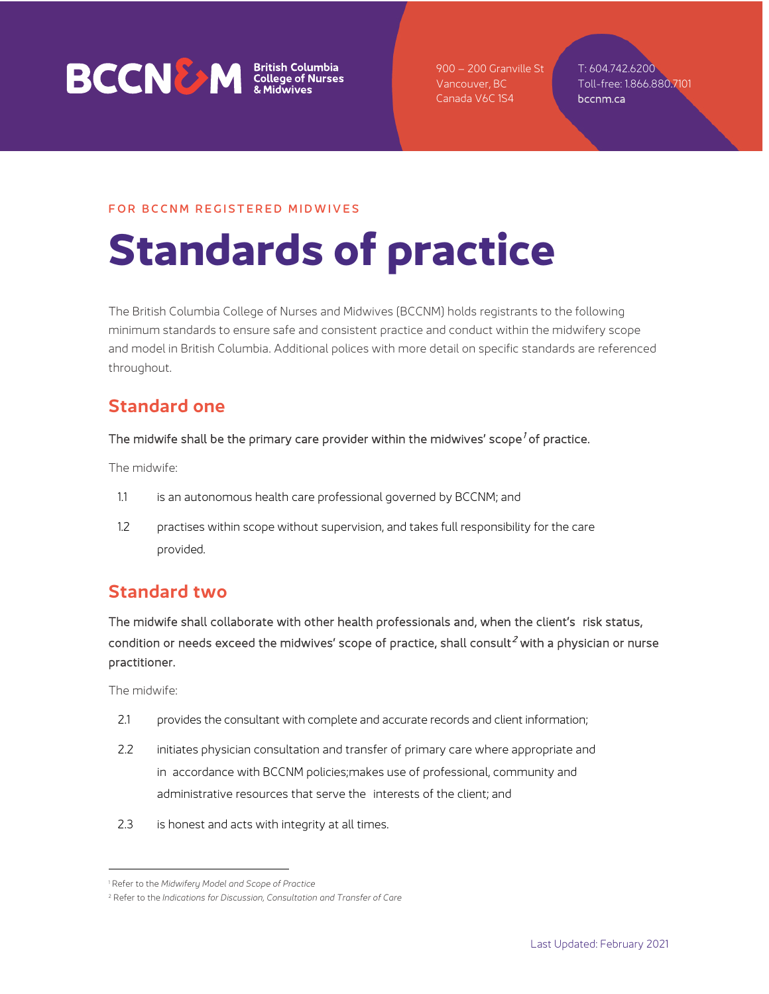

900 – 200 Granville St Vancouver, BC Canada V6C 1S4

T: 604.742.6200 Toll-free: 1.866.880.7101 bccnm.ca

#### FOR BCCNM REGISTERED MIDWIVES

# **Standards of practice**

The British Columbia College of Nurses and Midwives (BCCNM) holds registrants to the following minimum standards to ensure safe and consistent practice and conduct within the midwifery scope and model in British Columbia. Additional polices with more detail on specific standards are referenced throughout.

### **Standard one**

#### The midwife shall be the primary care provider within the midwives' scope<sup>[1](#page-0-0)</sup> of practice.

The midwife:

- 1.1 is an autonomous health care professional governed by BCCNM; and
- 1.2 practises within scope without supervision, and takes full responsibility for the care provided.

# **Standard two**

The midwife shall collaborate with other health professionals and, when the client's risk status, condition or needs exceed the midwives' scope of practice, shall consult<sup>[2](#page-0-1)</sup> with a physician or nurse practitioner.

- 2.1 provides the consultant with complete and accurate records and client information;
- 2.2 initiates physician consultation and transfer of primary care where appropriate and in accordance with BCCNM policies;makes use of professional, community and administrative resources that serve the interests of the client; and
- 2.3 is honest and acts with integrity at all times.

<span id="page-0-0"></span><sup>1</sup> Refer to the *Midwifery Model and Scope of Practice*

<span id="page-0-1"></span><sup>2</sup> Refer to the *Indications for Discussion, Consultation and Transfer of Care*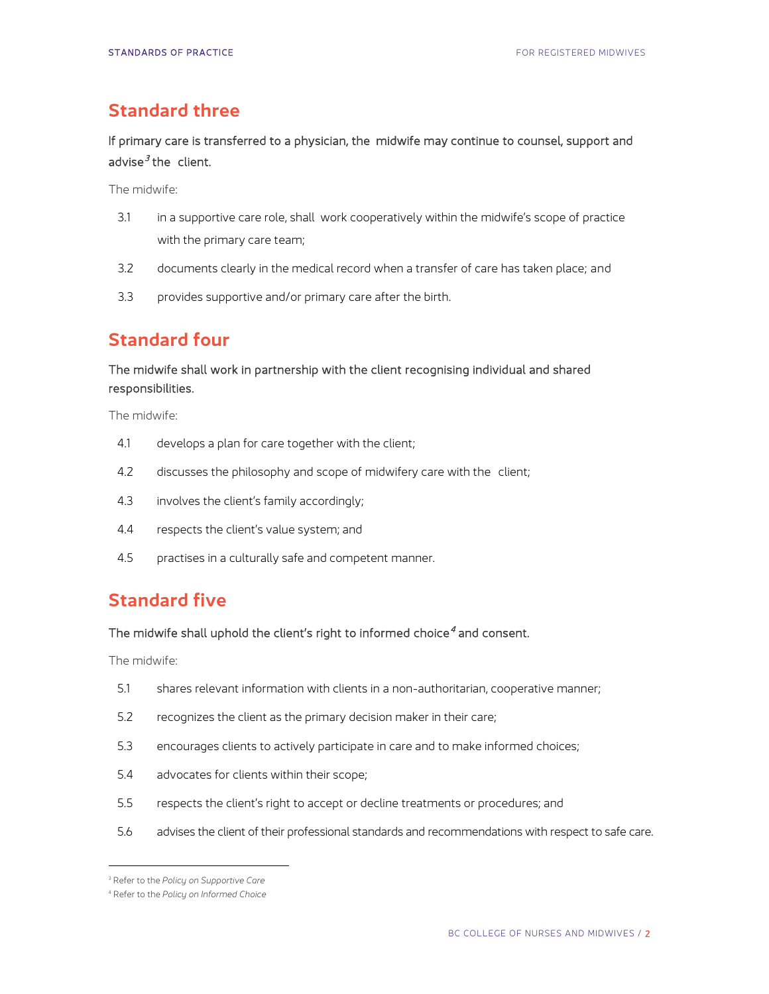#### **Standard three**

If primary care is transferred to a physician, the midwife may continue to counsel, support and advise $3$  the client.

The midwife:

- 3.1 in a supportive care role, shall work cooperatively within the midwife's scope of practice with the primary care team;
- 3.2 documents clearly in the medical record when a transfer of care has taken place; and
- 3.3 provides supportive and/or primary care after the birth.

# **Standard four**

#### The midwife shall work in partnership with the client recognising individual and shared responsibilities.

The midwife:

- 4.1 develops a plan for care together with the client;
- 4.2 discusses the philosophy and scope of midwifery care with the client;
- 4.3 involves the client's family accordingly;
- 4.4 respects the client's value system; and
- 4.5 practises in a culturally safe and competent manner.

# **Standard five**

#### The midwife shall uphold the client's right to informed choice<sup>[4](#page-1-0)</sup> and consent.

- 5.1 shares relevant information with clients in a non-authoritarian, cooperative manner;
- 5.2 recognizes the client as the primary decision maker in their care;
- 5.3 encourages clients to actively participate in care and to make informed choices;
- 5.4 advocates for clients within their scope;
- 5.5 respects the client's right to accept or decline treatments or procedures; and
- 5.6 advises the client of their professional standards and recommendations with respect to safe care.

<sup>3</sup> Refer to the *Policy on Supportive Care*

<span id="page-1-0"></span><sup>4</sup> Refer to the *Policy on Informed Choice*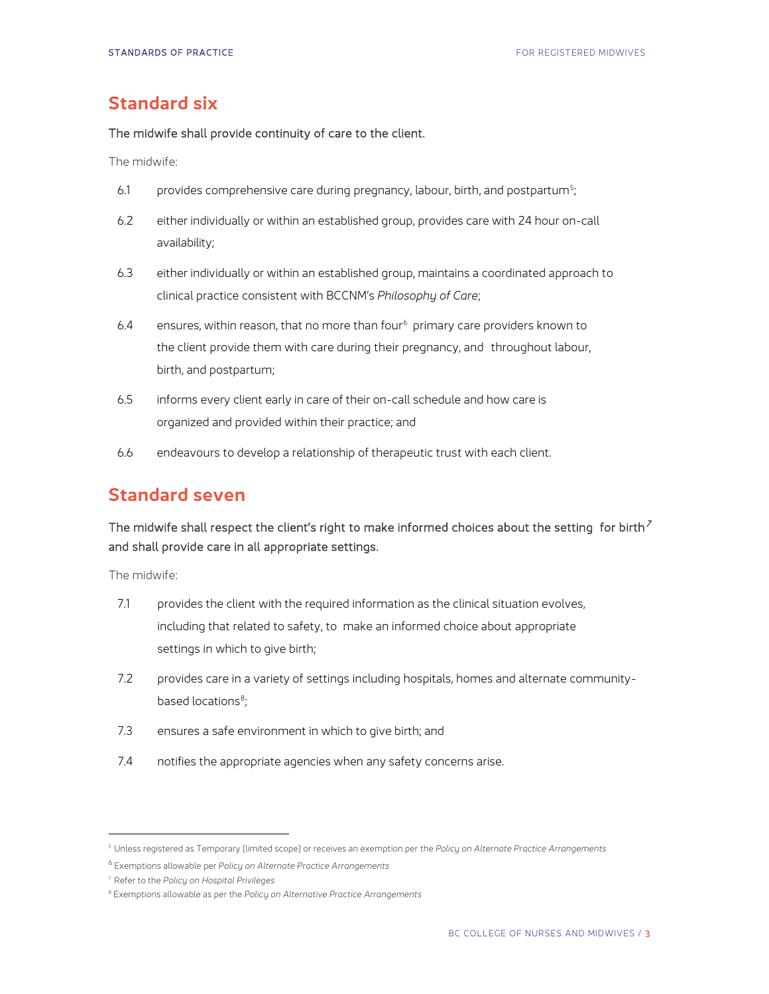## **Standard six**

#### The midwife shall provide continuity of care to the client.

The midwife:

- 6.1 beta provides comprehensive care during pregnancy, labour, birth, and postpartum<sup>[5](#page-2-0)</sup>;
- 6.2 either individually or within an established group, provides care with 24 hour on-call availability;
- 6.3 either individually or within an established group, maintains a coordinated approach to clinical practice consistent with BCCNM's *Philosophy of Care*;
- [6](#page-2-1).4 ensures, within reason, that no more than four<sup>6</sup> primary care providers known to the client provide them with care during their pregnancy, and throughout labour, birth, and postpartum;
- 6.5 informs every client early in care of their on-call schedule and how care is organized and provided within their practice; and
- 6.6 endeavours to develop a relationship of therapeutic trust with each client.

# **Standard seven**

#### The midwife shall respect the client's right to make informed choices about the setting for birth<sup>7</sup> and shall provide care in all appropriate settings.

- 7.1 provides the client with the required information as the clinical situation evolves, including that related to safety, to make an informed choice about appropriate settings in which to give birth;
- 7.2 provides care in a variety of settings including hospitals, homes and alternate community-based locations<sup>[8](#page-2-2)</sup>;
- 7.3 ensures a safe environment in which to give birth; and
- 7.4 notifies the appropriate agencies when any safety concerns arise.

<span id="page-2-0"></span><sup>5</sup> Unless registered as Temporary (limited scope) or receives an exemption per the *Policy on Alternate Practice Arrangements*

<span id="page-2-1"></span><sup>6</sup> Exemptions allowable per *Policy on Alternate Practice Arrangements*

<sup>7</sup> Refer to the *Policy on Hospital Privileges*

<span id="page-2-2"></span><sup>8</sup> Exemptions allowable as per the *Policy on Alternative Practice Arrangements*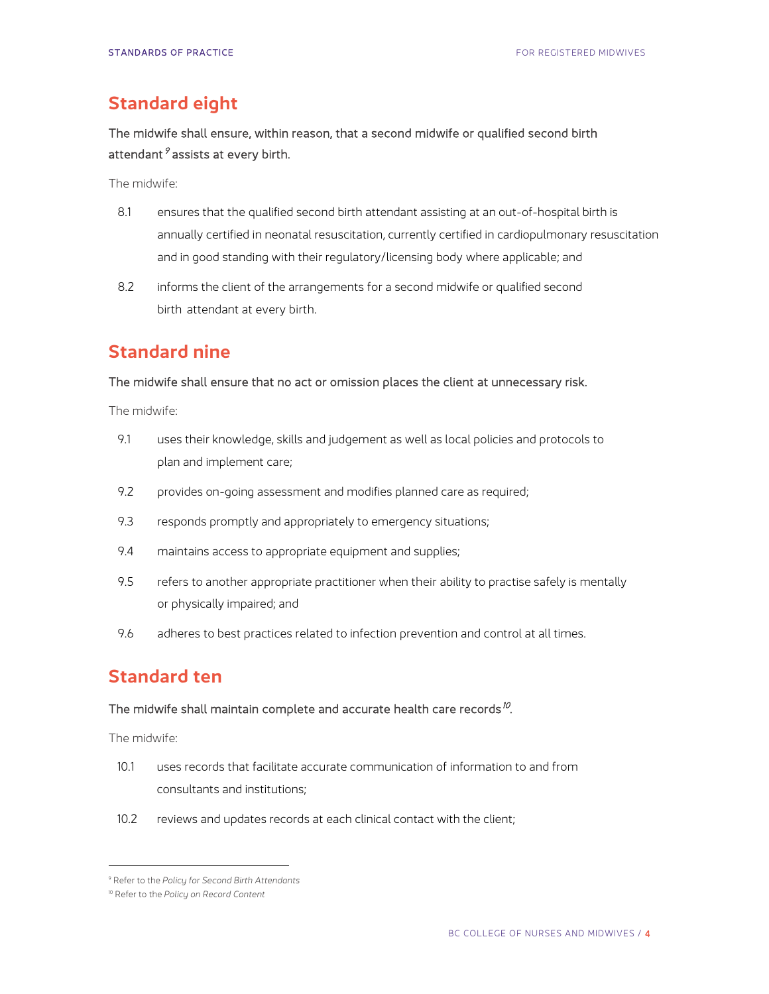## **Standard eight**

The midwife shall ensure, within reason, that a second midwife or qualified second birth attendant  $9$  assists at every birth.

The midwife:

- 8.1 ensures that the qualified second birth attendant assisting at an out-of-hospital birth is annually certified in neonatal resuscitation, currently certified in cardiopulmonary resuscitation and in good standing with their regulatory/licensing body where applicable; and
- 8.2 informs the client of the arrangements for a second midwife or qualified second birth attendant at every birth.

## **Standard nine**

#### The midwife shall ensure that no act or omission places the client at unnecessary risk.

The midwife:

- 9.1 uses their knowledge, skills and judgement as well as local policies and protocols to plan and implement care;
- 9.2 provides on-going assessment and modifies planned care as required;
- 9.3 responds promptly and appropriately to emergency situations;
- 9.4 maintains access to appropriate equipment and supplies;
- 9.5 refers to another appropriate practitioner when their ability to practise safely is mentally or physically impaired; and
- 9.6 adheres to best practices related to infection prevention and control at all times.

#### **Standard ten**

#### The midwife shall maintain complete and accurate health care records<sup>[10](#page-3-1)</sup>.

- 10.1 uses records that facilitate accurate communication of information to and from consultants and institutions;
- 10.2 reviews and updates records at each clinical contact with the client;

<span id="page-3-0"></span><sup>9</sup> Refer to the *Policy for Second Birth Attendants*

<span id="page-3-1"></span><sup>10</sup> Refer to the *Policy on Record Content*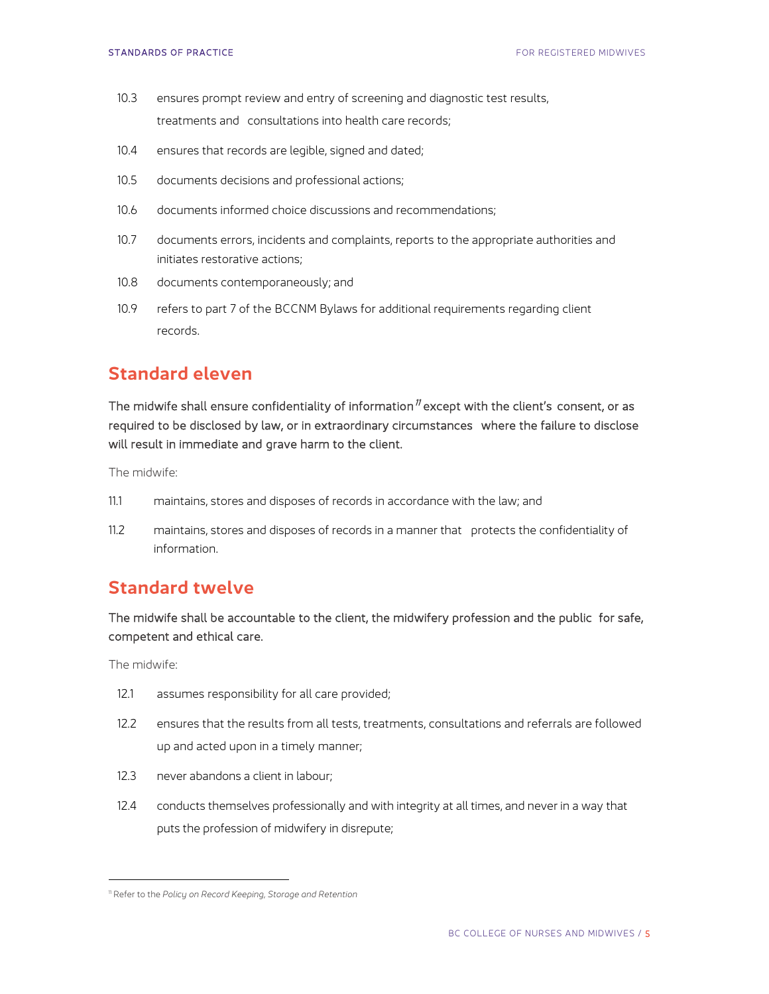- 10.3 ensures prompt review and entry of screening and diagnostic test results, treatments and consultations into health care records;
- 10.4 ensures that records are legible, signed and dated;
- 10.5 documents decisions and professional actions;
- 10.6 documents informed choice discussions and recommendations;
- 10.7 documents errors, incidents and complaints, reports to the appropriate authorities and initiates restorative actions;
- 10.8 documents contemporaneously; and
- 10.9 refers to part 7 of the BCCNM Bylaws for additional requirements regarding client records.

#### **Standard eleven**

The midwife shall ensure confidentiality of information<sup> $n$ </sup> except with the client's consent, or as required to be disclosed by law, or in extraordinary circumstances where the failure to disclose will result in immediate and grave harm to the client.

The midwife:

- 11.1 maintains, stores and disposes of records in accordance with the law; and
- 11.2 maintains, stores and disposes of records in a manner that protects the confidentiality of information.

#### **Standard twelve**

The midwife shall be accountable to the client, the midwifery profession and the public for safe, competent and ethical care.

- 12.1 assumes responsibility for all care provided;
- 12.2 ensures that the results from all tests, treatments, consultations and referrals are followed up and acted upon in a timely manner;
- 12.3 never abandons a client in labour;
- 12.4 conducts themselves professionally and with integrity at all times, and never in a way that puts the profession of midwifery in disrepute;

<span id="page-4-0"></span><sup>11</sup> Refer to the *Policy on Record Keeping, Storage and Retention*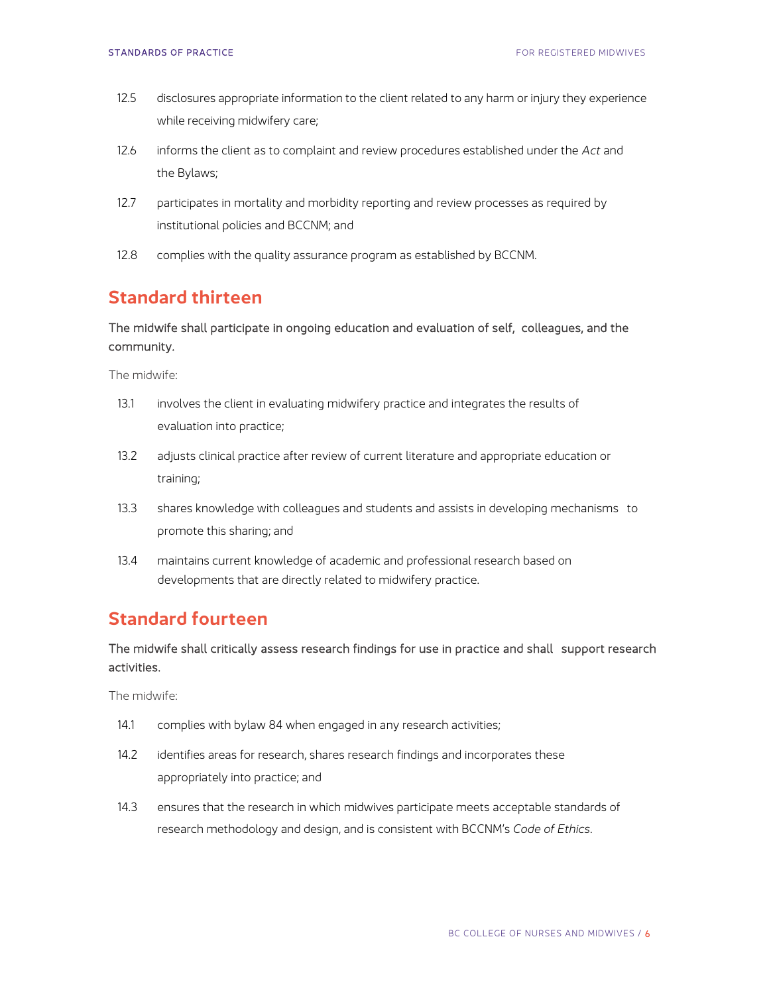- 12.5 disclosures appropriate information to the client related to any harm or injury they experience while receiving midwifery care;
- 12.6 informs the client as to complaint and review procedures established under the *Act* and the Bylaws;
- 12.7 participates in mortality and morbidity reporting and review processes as required by institutional policies and BCCNM; and
- 12.8 complies with the quality assurance program as established by BCCNM.

### **Standard thirteen**

#### The midwife shall participate in ongoing education and evaluation of self, colleagues, and the community.

The midwife:

- 13.1 involves the client in evaluating midwifery practice and integrates the results of evaluation into practice;
- 13.2 adjusts clinical practice after review of current literature and appropriate education or training;
- 13.3 shares knowledge with colleagues and students and assists in developing mechanisms to promote this sharing; and
- 13.4 maintains current knowledge of academic and professional research based on developments that are directly related to midwifery practice.

## **Standard fourteen**

The midwife shall critically assess research findings for use in practice and shall support research activities.

- 14.1 complies with bylaw 84 when engaged in any research activities;
- 14.2 identifies areas for research, shares research findings and incorporates these appropriately into practice; and
- 14.3 ensures that the research in which midwives participate meets acceptable standards of research methodology and design, and is consistent with BCCNM's *Code of Ethics*.